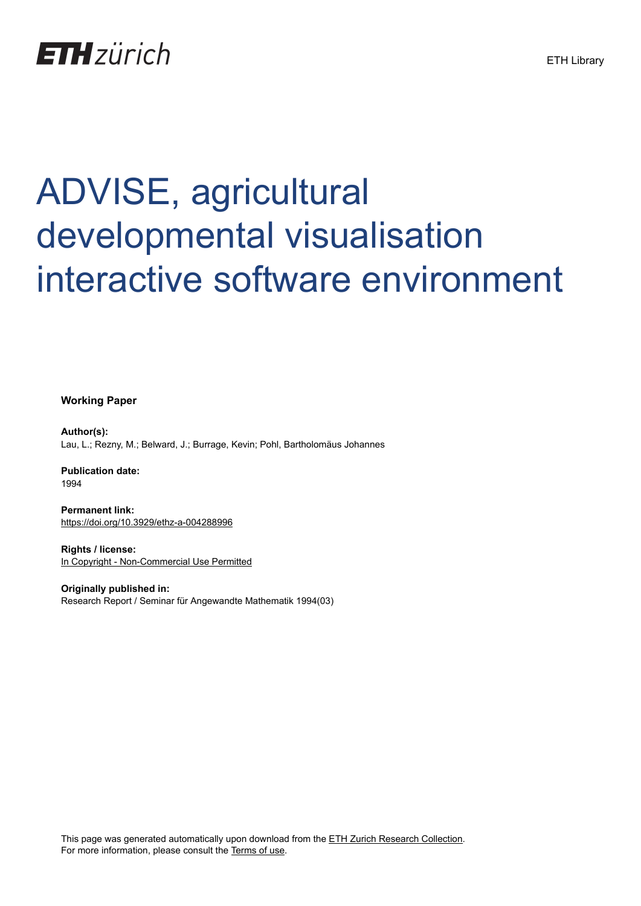

# ADVISE, agricultural developmental visualisation interactive software environment

**Working Paper**

**Author(s):** Lau, L.; Rezny, M.; Belward, J.; Burrage, Kevin; Pohl, Bartholomäus Johannes

**Publication date:** 1994

**Permanent link:** <https://doi.org/10.3929/ethz-a-004288996>

**Rights / license:** [In Copyright - Non-Commercial Use Permitted](http://rightsstatements.org/page/InC-NC/1.0/)

**Originally published in:** Research Report / Seminar für Angewandte Mathematik 1994(03)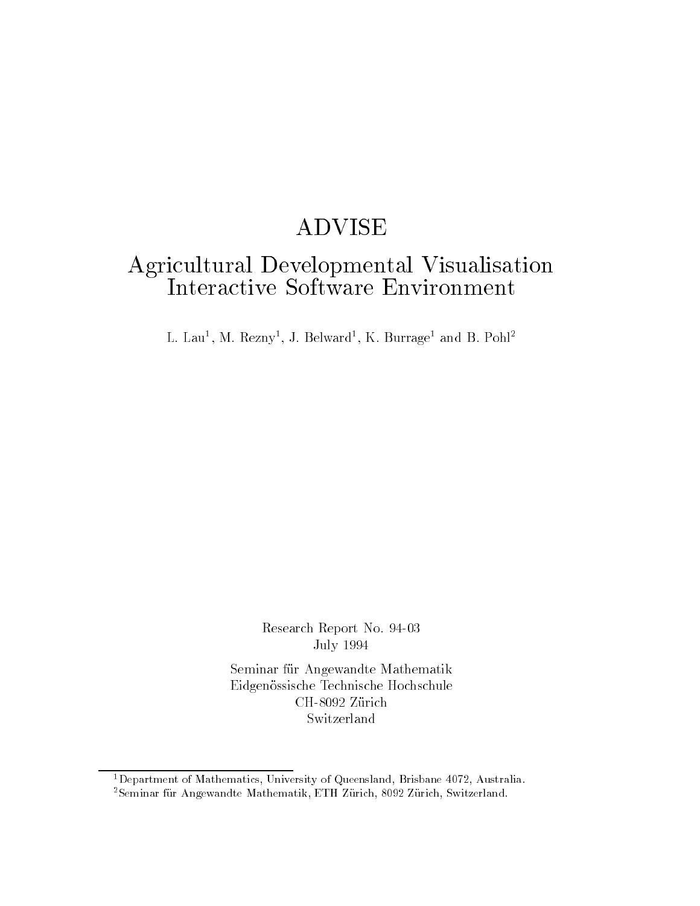# ADVISE

# Agricultural Developmental Visualisation

L. Lau", M. Kezny", J. Belward", K. Burrage" and B. Poni-

Research Report No **July 1994** 

Seminar für Angewandte Mathematik Eidgenössische Technische Hochschule

Flepartment of Mathematics, University of Queensland, Brisbane 4072, Australia. – -Seminar fur Angewandte Mathematik, ETH Zurich, Swiz, Zurich, Switzerland.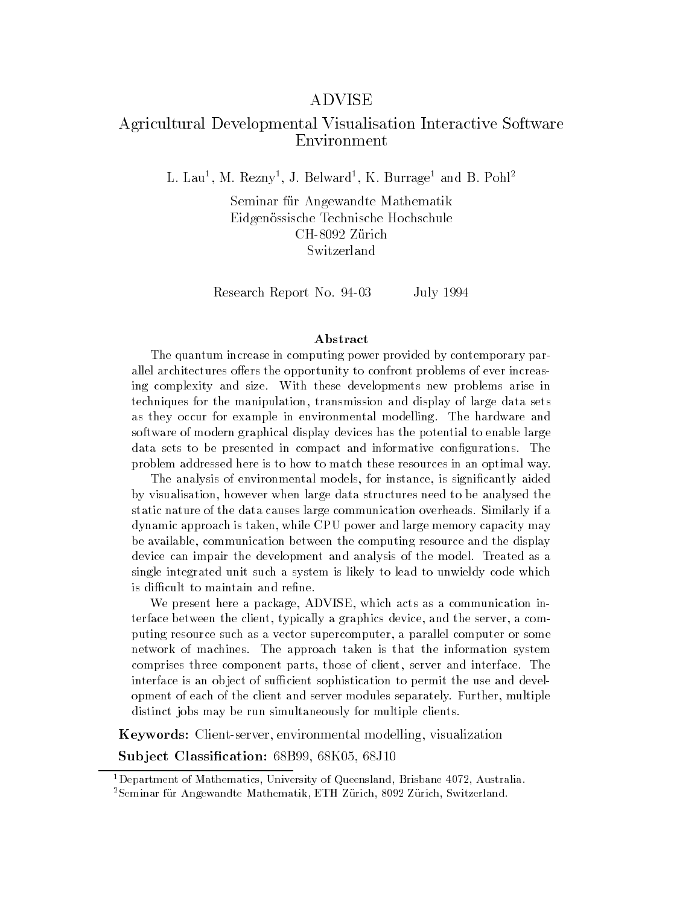#### ADVISE

# Agricultural Developmental Visualisation Interactive Software Environment

L. Lau", M. Kezny", J. Belward", K. Burrage" and B. Poni-

Seminar für Angewandte Mathematik Eidgenössische Technische Hochschule Switzerland

Research Report No. 94-03 July 1994

#### Abstract

The quantum increase in computing power provided by contemporary par allel architectures o-ers the opportunity to confront problems of ever increas ing complexity and size. With these developments new problems arise in techniques for the manipulation, transmission and display of large data sets as they occur for example in environmental modelling. The hardware and software of modern graphical display devices has the potential to enable large data sets to be presented in compact and informative configurations. The problem addressed here is to how to match these resources in an optimal way

The analysis of environmental models, for instance, is significantly aided by visualisation however when large data structures need to be analysed the static nature of the data causes large communication overheads Similarly if a dynamic approach is taken, while CPU power and large memory capacity may be available, communication between the computing resource and the display device can impair the development and analysis of the model. Treated as a single integrated unit such a system is likely to lead to unwieldy code which is difficult to maintain and refine.

We present here a package, ADVISE, which acts as a communication interface between the client, typically a graphics device, and the server, a computing resource such as a vector supercomputer a parallel computer or some network of machines. The approach taken is that the information system comprises three component parts, those of client, server and interface. The interface is an object of sufficient sophistication to permit the use and development of each of the client and server modules separately. Further, multiple distinct jobs may be run simultaneously for multiple clients.

Keywords Clientserver- environmental modelling- visualization

s me jest cannon mest mest com out compoted out of the second state of the second state of the second state of

Flepartment of Mathematics, University of Queensland, Brisbane 4072, Australia. – -Seminar fur Angewandte Mathematik, ETH Zurich, Swiz, Zurich, Switzerland.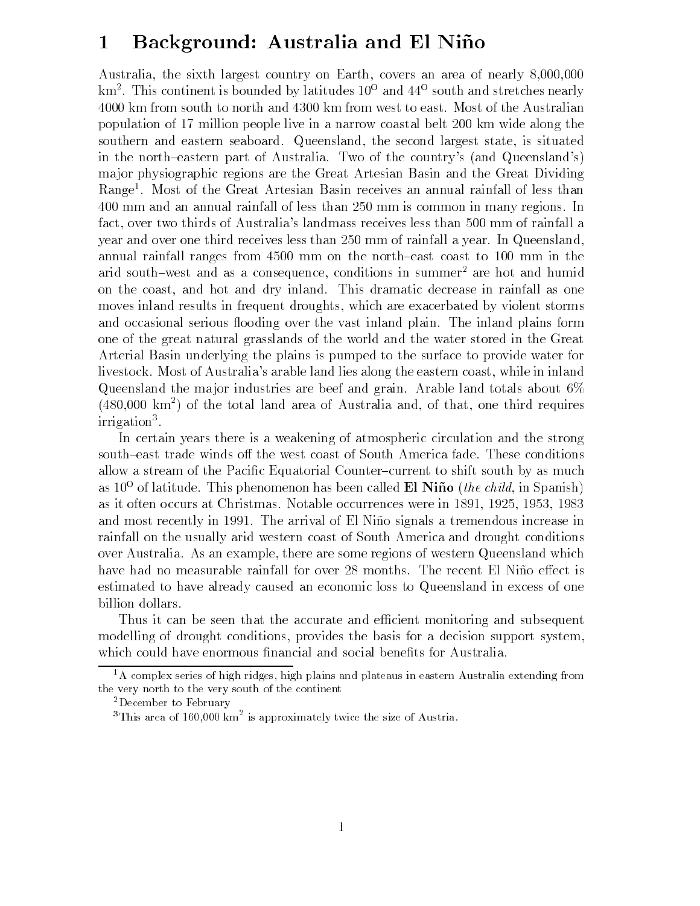# Background- Australia and El Nino

Australia- the sixth largest country on Earth- covers an area of nearly --  ${\rm km}$  . This continent is bounded by latitudes TU  $^{\circ}$  and 44  $^{\circ}$  south and stretches nearly 4000 km from south to north and 4300 km from west to east. Most of the Australian population of 17 million people live in a narrow coastal belt 200 km wide along the southern and eastern seaboard Queensland- the second largest state- is situated in the north-eastern part of Australia. Two of the country's (and Queensland's) ma jor physiographic regions are the Great Artesian Basin and the Great Dividing Range Most of the Great Artesian Basin receives an annual rainfall of less than 400 mm and an annual rainfall of less than 250 mm is common in many regions. In fact-between two two thirds of Australias landmass receives less than  $\mathbb{R}^n$ year and over one third receives less than 250 mm of rainfall a year. In Queensland, annual rainfall ranges from 4500 mm on the north-east coast to 100 mm in the arid south-west and as a consequence, conditions in summer- are not and humid on the coast- and hot and dry inland This dramatic decrease in rainfall as one moves income results in the property drop of  $\lambda$  are exactly distinct that is a storm storm storm storm of  $\lambda$ and occasional serious flooding over the vast inland plain. The inland plains form one of the great natural grasslands of the world and the water stored in the Great Arterial Basin underlying the plains is pumped to the surface to provide water for livestock Most of Australias arable land lies along the eastern coast- while in inland Queensland the major industries are beef and grain. Arable land totals about  $6\%$ (480,000 km<sup>-</sup>) of the total land area of Australia and, of that, one third requires irrigation

In certain years there is a weakening of atmospheric circulation and the strong south-east trade winds off the west coast of South America fade. These conditions allow a stream of the Pacific Equatorial Counter-current to shift south by as much as  $10^{\circ}$  of latitude. This phenomenon has been called **El Nino** (*the child*, in Spanish)  $$ as it often occurs at Christmas Notable occurs at Christmas Notable occurs at Christmas Notable occurrences we and most recently in 1991. The arrival of El Niño signals a tremendous increase in rainfall on the usually arid western coast of South America and drought conditions over a there are some regions of western are some regions of western queensland which we are some estimated to have already caused an economic loss to Queensland in excess of one billion dollars

Thus it can be seen that the accurate and efficient monitoring and subsequent modelling of drought conditions- provides the basis for a decision support systemwhich could have enormous financial and social benefits for Australia.

 ${}^{1}$ A complex series of high ridges, high plains and plateaus in eastern Australia extending from the very north to the very south of the continent

<sup>-</sup>December to February

 $^\circ$ This area of T60,000 km $^\circ$  is approximately twice the size of Austria.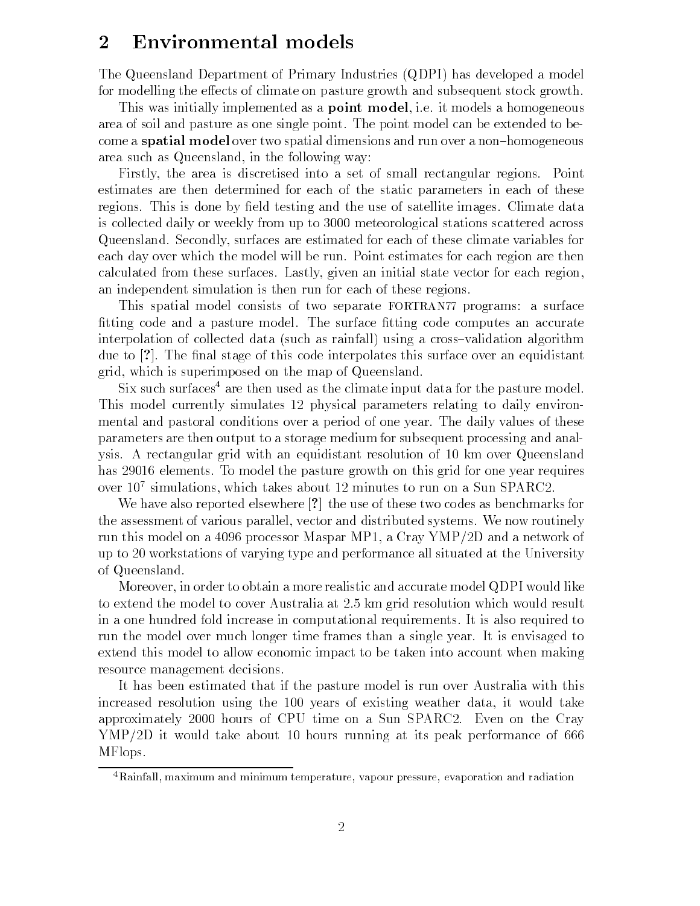# 2 Environmental models

The Queensland Department of Primary Industries (QDPI) has developed a model for modelling the effects of climate on pasture growth and subsequent stock growth.

This was initially implemented as a point model- ie it models a homogeneous area of soil and pasture as one single point The point model can be extended to be come a **spatial model** over two spatial dimensions and run over a non-homogeneous are such as  $\mathcal{S}$  such as  $\mathcal{S}$  such as  $\mathcal{S}$  such as  $\mathcal{S}$  such as  $\mathcal{S}$  such as  $\mathcal{S}$ 

Firstly- the area is discretised into a set of small rectangular regions Point estimates are then determined for each of the static parameters in each of these regions. This is done by field testing and the use of satellite images. Climate data is collected daily or weekly from up to 3000 meteorological stations scattered across Queensland Secondly- surfaces are estimated for each of these climate variables for each day over which the model will be run. Point estimates for each region are then calculated from these surfaces Lastly-Controller and initial states and include the state vector  $\sim$ an independent simulation is then run for each of these regions

This spatial model consists of two separate FORTRAN77 programs: a surface fitting code and a pasture model. The surface fitting code computes an accurate interpolation of collected data (such as rainfall) using a cross-validation algorithm due to  $\lceil$ ?. The final stage of this code interpolates this surface over an equidistant grid-, which is superimposed on the map of  $\eta$  are map of  $\eta$ 

Six such surfaces<sup>4</sup> are then used as the climate input data for the pasture model. This model currently simulates 12 physical parameters relating to daily environmental and pastoral conditions over a period of one year. The daily values of these parameters are then output to a storage medium for subsequent processing and anal ysis. A rectangular grid with an equidistant resolution of 10 km over Queensland has 29016 elements. To model the pasture growth on this grid for one year requires over Tu simulations, which takes about 12 minutes to run on a Sun SPARC2.

We have also reported elsewhere  $\lceil ? \rceil$  the use of these two codes as benchmarks for the assessment of various parallel-vector and distributed systems We now routinely we now routinely run this model on a  processor Maspar MP- a Cray YMPD and a network of up to 20 workstations of varying type and performance all situated at the University of Queensland

Moreover- in order to obtain a more realistic and accurate model QDPI would like to extend the model to cover Australia at 2.5 km grid resolution which would result in a one hundred fold increase in computational requirements It is also required to run the model over much longer time frames than a single year It is envisaged to extend this model to allow economic impact to be taken into account when making resource management decisions

It has been estimated that if the pasture model is run over Australia with this increased resolution using the years of existing weather data- it would take approximately 2000 hours of CPU time on a Sun SPARC2. Even on the Cray  $YMP/2D$  it would take about 10 hours running at its peak performance of 666 MFlops

<sup>&</sup>lt;sup>4</sup>Rainfall, maximum and minimum temperature, vapour pressure, evaporation and radiation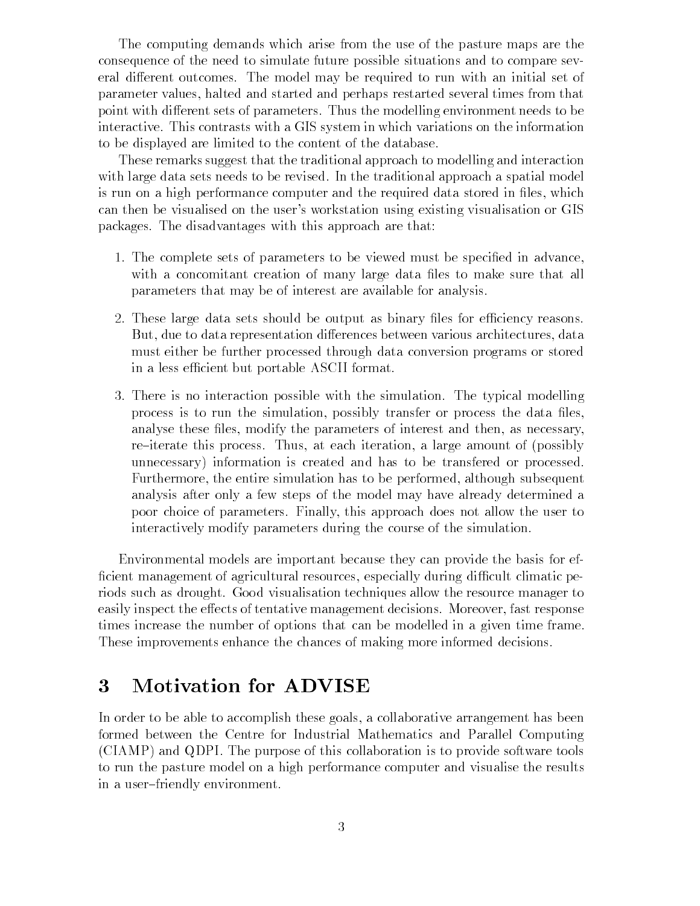The computing demands which arise from the use of the pasture maps are the consequence of the need to simulate future possible situations and to compare sev eral different outcomes. The model may be required to run with an initial set of parameter values- halted and started and perhaps restarted several times from that point with different sets of parameters. Thus the modelling environment needs to be interactive This contrasts with a GIS system in which variations on the information to be displayed are limited to the content of the database

These remarks suggest that the traditional approach to modelling and interaction with large data sets needs to be revised. In the traditional approach a spatial model is run on a high performance computer and the required data stored in les- which can then be visualised on the user's workstation using existing visualisation or GIS packages The disadvantages with this approach are that

- 1. The complete sets of parameters to be viewed must be specified in advance. with a concomitant creation of many large data files to make sure that all parameters that may be of interest are available for analysis
- 2. These large data sets should be output as binary files for efficiency reasons. But- due to data representation dierences between various architectures- data must either be further processed through data conversion programs or stored in a less efficient but portable ASCII format.
- 3. There is no interaction possible with the simulation. The typical modelling process is to run the simulation- possibly transfer or process the data lesanalyse these les- modify the parameters of interest and then- as necessaryreiterate this process Thus- at each iteration- a large amount of possibly unnecessary information is created and has to be transfered or processed Furthermore- the entire simulation has to be performed- although subsequent analysis after only a few steps of the model may have already determined a poor choice of parameters Finally- this approach does not allow the user to interactively modify parameters during the course of the simulation

Environmental models are important because they can provide the basis for ef cient management of agricultural resources- especially during dicult climatic pe riods such as drought Good visualisation techniques allow the resource manager to easily inspect the eects of tentative management decisions Moreover- fast response times increase the number of options that can be modelled in a given time frame These improvements enhance the chances of making more informed decisions

# Motivation for ADVISE

In order to accomplish these goals-been goals-been goals-been goals-been goals-been goals-been goals-been goals-been goals-been goals-been goals-been goals-been goals-been goals-been goals-been goals-been goals-been goals formed between the Centre for Industrial Mathematics and Parallel Computing CIAMP and QDPI The purpose of this collaboration is to provide software tools to run the pasture model on a high performance computer and visualise the results in a user-friendly environment.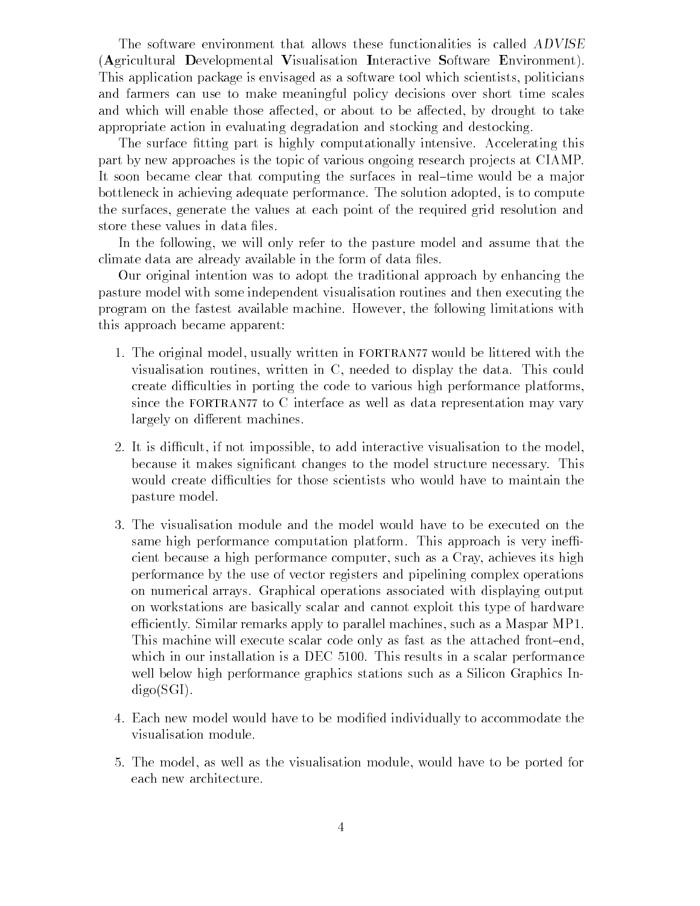The software environment that allows these functionalities is called ADVISE Agricultural Developmental Visualisation Interactive Software Environment This application package is envisaged as a software tool which scientists- politicians and farmers can use to make meaningful policy decisions over short time scales and which will enable the actes and the algebra or all the actes of the appearance are the complete to the act appropriate action in evaluating degradation and stocking and destocking

The surface fitting part is highly computationally intensive. Accelerating this part by new approaches is the topic of various ongoing research projects at CIAMP. It soon became clear that computing the surfaces in real-time would be a major bottleneck in achieving adequate performance The solution adopted- is to compute the surfaces- generate the values at each point of the required grid resolution and store these values in data files.

In the following- we will only refer to the pasture model and assume that the climate data are already available in the form of data files.

Our original intention was to adopt the traditional approach by enhancing the pasture model with some independent visualisation routines and then executing the program on the fastest available machine However- the following limitations with this approach became apparent

- The original model- usually written in FORTRAN would be littered with the visualisation routiness, written in the data This could be a strong the data This could be a strong create difficulties in porting the code to various high performance platforms, since the FORTRAN77 to C interface as well as data representation may vary largely on different machines.
- . It is different with the model-through the model-the model-the model-the model-the model-the modelbecause it makes signicant changes to the model structure necessary This would create difficulties for those scientists who would have to maintain the pasture model
- The visualisation module and the model would have to be executed on the same high performance computation platform. This approach is very inefficient because a high performance computer- achieves its high performance computer- achieves its high performance of  $\mathbf{A}$ performance by the use of vector registers and pipelining complex operations on numerical arrays Graphical operations associated with displaying output on workstations are basically scalar and cannot exploit this type of hardware eciently Similar remarks apply to parallel machines- such as a Maspar MP This machine will execute scalar code only as fast as the attached front-end. which in our installation is a DEC  $5100$ . This results in a scalar performance well below high performance graphics stations such as a Silicon Graphics In  $digo(SGI)$ .
- 4. Each new model would have to be modified individually to accommodate the visualisation module
- The model- as well as the visualisation module- would have to be ported for each new architecture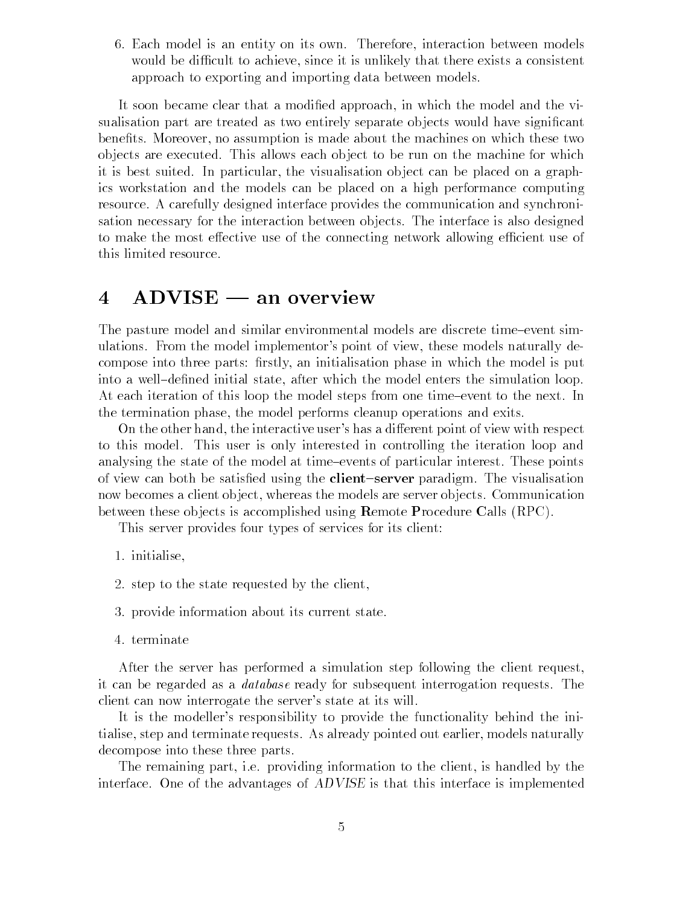Each model is an entity on its own Therefore- interaction between models would be different to activity that the since it is understanding that the since  $\alpha$  consistent that the since  $\alpha$ approach to exporting and importing data between models

. It so a model that a model and the model approached and the model and the model and the view of the view of sualisation part are treated as two entirely separate ob jects would have signicant , assumption is more assumption is made about the material theoretical the material theoretic order objects are executed. This allows each object to be run on the machine for which it is a contracted in particularity in the communication of placed on placed on a placed on  $A$  in place ics workstation and the models can be placed on a high performance computing resource A carefully designed interface provides the communication and synchroni sation necessary for the interaction between objects. The interface is also designed to make the most effective use of the connecting network allowing efficient use of this limited resource

#### $ADVISE$  — an overview  $\overline{\mathcal{A}}$

The pasture model and similar environmental models are discrete time-event simulations From the model implementors point of view-defended implementors point of view-defended implementors p compose into the experiment in the model in the model is put in the model in the model in parts in which the m into a well after which the model initial states the simulation loop the simulation in the simulation  $\mu$  . At each iteration of this loop the model steps from one time-event to the next. In the termination phase- the model performs cleanup operations and exits

On the other hand- the interactive users has a dierent point of view with respect to this model This user is only interested in controlling the iteration loop and analysing the state of the model at time-events of particular interest. These points of view can both be satisfied using the **client-server** paradigm. The visualisation now becomes a client ob ject- whereas the models are server ob jects Communication between these objects is accomplished using  $\bf{R}$ emote  $\bf{P}$ rocedure Calls (RPC).

This server provides four types of services for its client

- 1. initialise.
- 2. step to the state requested by the client,
- 3. provide information about its current state.
- 4. terminate

After the server has performed a simulation step following the client requestit can be regarded as a *database* ready for subsequent interrogation requests. The client can now interrogate the server's state at its will.

It is the modeller's responsibility to provide the functionality behind the initialise- step and terminate requests As already pointed out earlier- models naturally decompose into these three parts

 $\sim$  remaining part-information to the client-client-client-client-client-client-client-client-client-client-clientinterface One of the advantages of ADVISE is that this interface is implemented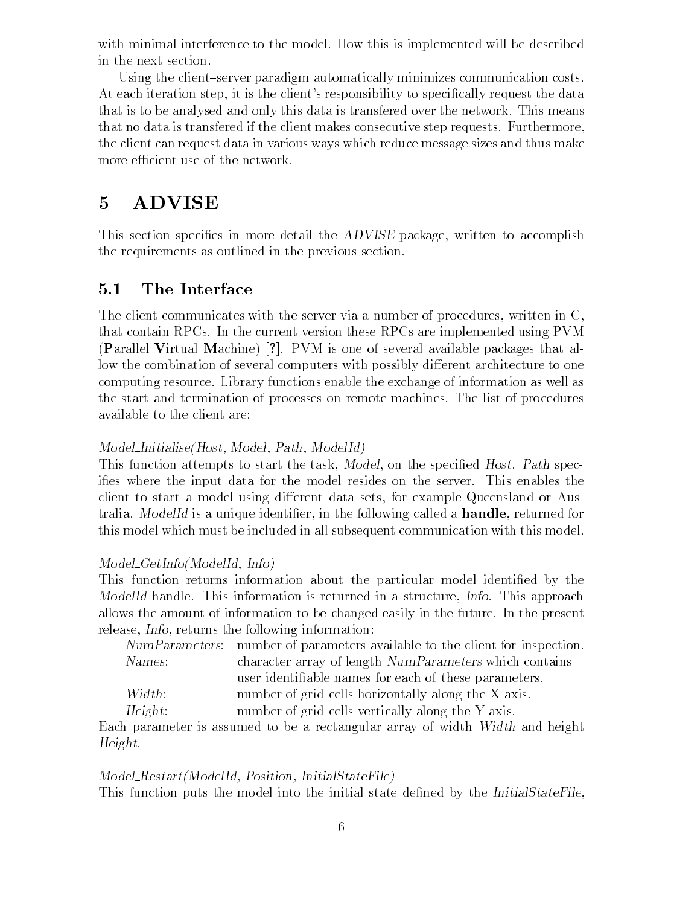with minimal interference to the model. How this is implemented will be described in the next section

Using the client-server paradigm automatically minimizes communication costs. At each iteration step- it is the clients responsibility to specically request the data that is to be analysed and only this data is transfered over the network This means that no data is transfered if the client makes consecutive step requests. Furthermore, the client can request data in various ways which reduce message sizes and thus make more efficient use of the network.

This section species in more detail the ADVISE package- written to accomplish the requirements as outlined in the previous section

#### 5.1 The Interface

The client communicates with the server via a number of procedures- written in Cthat contain RPCs In the current version these RPCs are implemented using PVM (Parallel Virtual Machine)  $\lbrack ? \rbrack$ . PVM is one of several available packages that allow the combination of several computers with possibly different architecture to one computing resource Library functions enable the exchange of information as well as the start and termination of processes on remote machines The list of procedures available to the client are

# Model InitialiseHost- Model- Path- ModelId

. This function at this function at the task-theory the task-the task-the species of the species  $\mathbb{P}^1$ ifies where the input data for the model resides on the server. This enables the client to start a model using dierent data sets- for example Queensland or Aus tracia modellid is a unique identified and the following called a modellider and the following called a handle this model which must be included in all subsequent communication with this model

## Model GetInfoModelId- Info

This function returns information about the particular model identified by the ModelId handle This information is returned in a structure- Info This approach allows the amount of information to be changed easily in the future In the present release- Info- returns the following information

|         | NumParameters: number of parameters available to the client for inspection. |  |
|---------|-----------------------------------------------------------------------------|--|
| Names:  | character array of length NumParameters which contains                      |  |
|         | user identifiable names for each of these parameters.                       |  |
| Width:  | number of grid cells horizontally along the X axis.                         |  |
| Height: | number of grid cells vertically along the Y axis.                           |  |

Each parameter is assumed to be a rectangular array of width Width and height Height

## Model RestartModelId- Position- InitialStateFile

This function puts the model into the initial state defined by the InitialStateFile.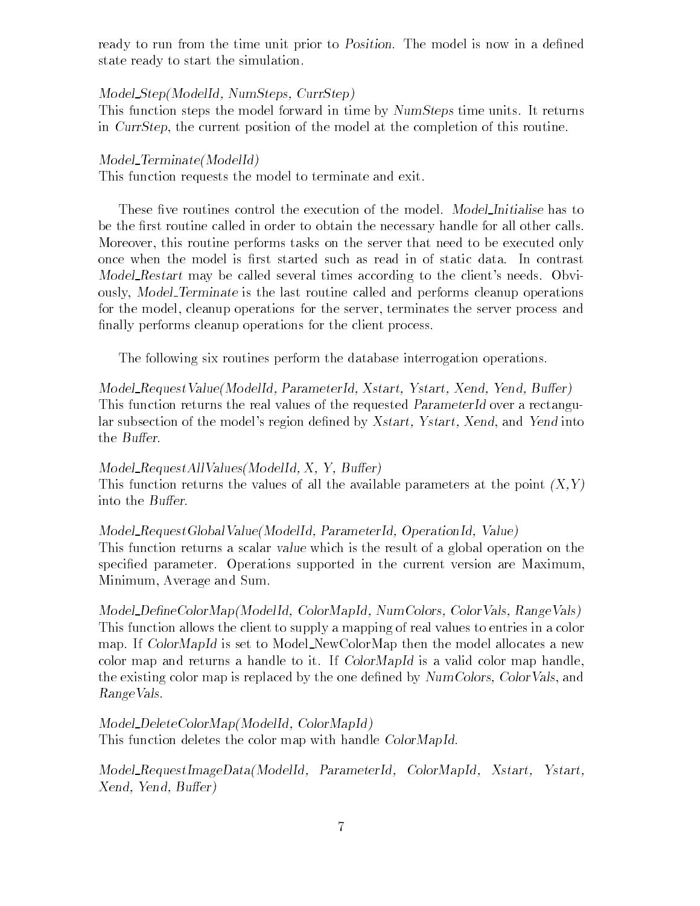ready to run from the time unit prior to *Position*. The model is now in a defined state ready to start the simulation

#### model Step Modell Step Modell Step Modell Step Modell Step Modell Step Modell Step Modell Step Modell Step Modell

This function steps the model forward in time by NumSteps time units It returns in CurrStep- the current position of the model at the completion of this routine

#### $Model\_Terminate(ModelId)$

This function requests the model to terminate and exit

These five routines control the execution of the model. Model Initialise has to be the first routine called in order to obtain the necessary handle for all other calls. Moreover- this routine performs tasks on the server that need to be executed only once when the model is first started such as read in of static data. In contrast Model\_Restart may be called several times according to the client's needs. Obviously- Model Terminate is the last routine called and performs cleanup operations for the model- cleanup operations for the server- terminates the server process and finally performs cleanup operations for the client process.

The following six routines perform the database interrogation operations

Model RequestValueModelId- ParameterId- Xstart- Ystart- Xend- Yend- Buer This function returns the real values of the requested ParameterId over a rectangu lar subsection of the models region dened by Xstart- Ystart- Xend- and Yend into the *Buffer*.

#### Model RequestAllValuesModelId- X- Y- Buer

This function returns the values of all the available parameters at the point X-Y into the Buffer.

#### model Records and Communication in the communication of the communication in the communication of the communication of

This function returns a scalar value which is the result of a global operation on the specified parameter. Operations supported in the current version are Maximum, Minimum- Average and Sum

Model DeneColorMapModelId- ColorMapId- NumColors- ColorVals- RangeVals This function allows the client to supply a mapping of real values to entries in a color map. If ColorMapId is set to Model\_NewColorMap then the model allocates a new color map and returns a handle to it. If ColorMapId is a valid color map handle. the existing color map is replaced by the one density of replaced by Number 2014, and the one density  $\alpha$ RangeVals

 $\blacksquare$  and  $\blacksquare$  and  $\blacksquare$ This function deletes the color map with handle ColorMapId.

model Record Republication and Color ColorMap Ideas and ColorMap Ideas and ColorMap Ideas and ColorMap Xend- Yend- Buer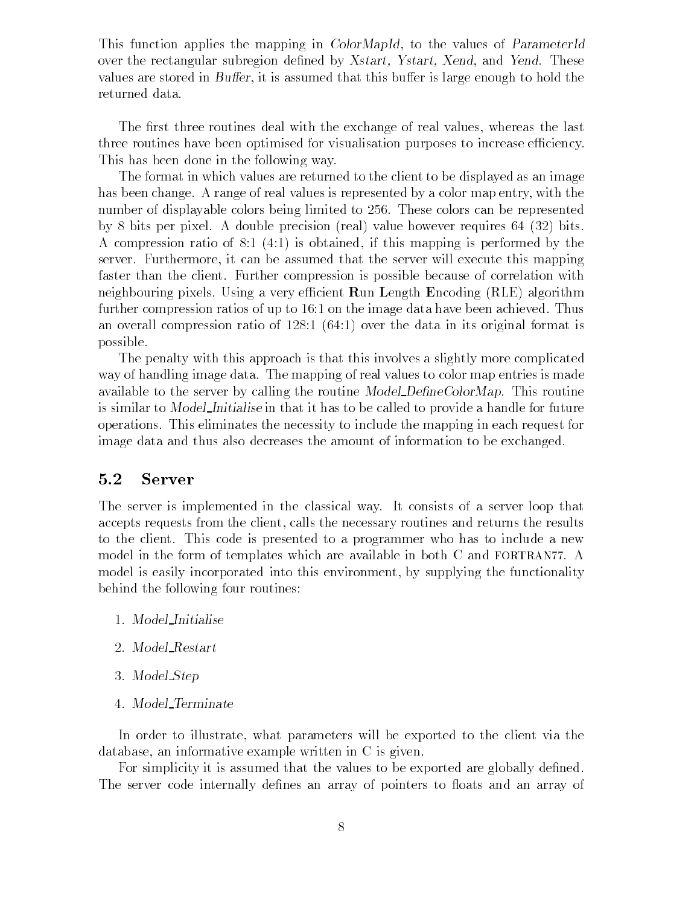This function applies the map  $\mathbf{F}$  and  $\mathbf{F}$  applies of  $\mathbf{F}$  and  $\mathbf{F}$ over the rectangular subregion dened by the children substitute the second between  $\sim$ values are stored in Buer-I, it is an anti-this burden that the most is large enough the most that the second returned data

The rst three routines deal with the exchange of real values- whereas the last three routines have been optimised for visualisation purposes to increase efficiency. This has been done in the following way

The format in which values are returned to the client to be displayed as an image has been change A range of real values is represented by a color map entry- with the number of displayable colors being limited to 256. These colors can be represented by bits per pixel A double precision real value however requires  bits A compression ratio of is obtained- if this mapping is performed by the server Furthermore, it can be assumed that the server will execute the server will example the server faster than the client. Further compression is possible because of correlation with neighbouring pixels. Using a very efficient  $\bf{R}$ un Length  $\bf{E}$ ncoding (RLE) algorithm further compression ratios of up to  $16:1$  on the image data have been achieved. Thus and over the data in its original format is original for  $\mathcal{M}$ possible

The penalty with this approach is that this involves a slightly more complicated way of handling image data The mapping of real values to color map entries is made available to the server by calling the routine  $Model\_DefineColorMap$ . This routine is similar to *Model\_Initialise* in that it has to be called to provide a handle for future operations This eliminates the necessity to include the mapping in each request for image data and thus also decreases the amount of information to be exchanged

#### 5.2 Server

The server is implemented in the classical way It consists of a server loop that accepts requests from the client- calls the necessary routines and returns the results to the client. This code is presented to a programmer who has to include a new model in the form of templates which are available in both  $C$  and  $FORTRAN 77$ . A model is easily incorporated into this environment- by supplying the functionality behind the following four routines

- Model Initialise
- Model Restart
- 3. Model\_Step
- Model Terminate

In order to illustrate- what parameters will be exported to the client via the database-informative example written in C is given in C is given in C is given in C is given in C is given in C

For simplicity it is assumed that the values to be exported are globally defined. The server code internally defines an array of pointers to floats and an array of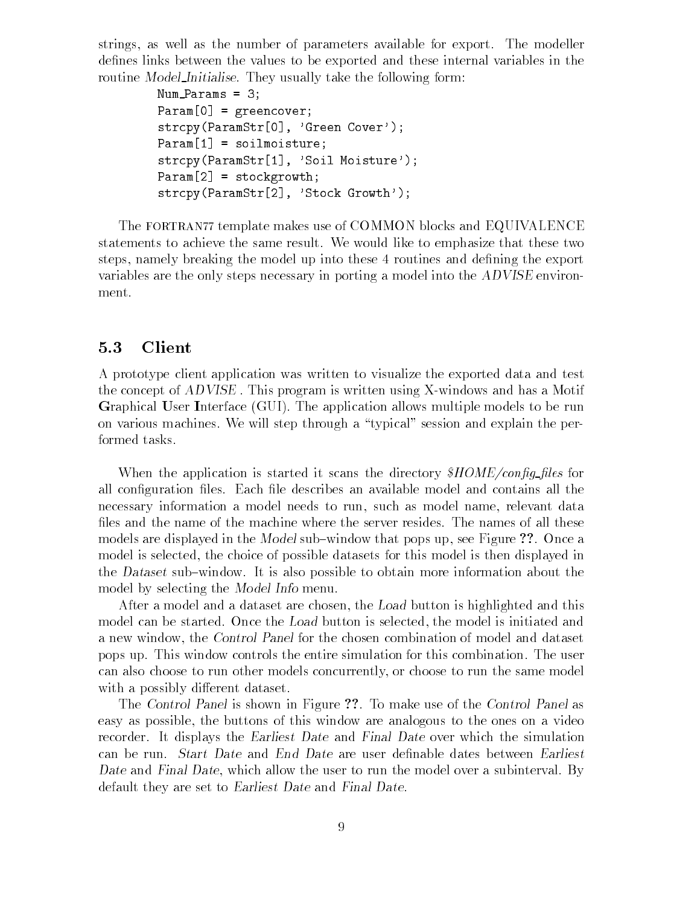strings- as well as the number of parameters available for export The modeller defines links between the values to be exported and these internal variables in the routine Model Initialise. They usually take the following form:

```
num paramo - o ,
Param[0] = greencover;strcpy (Faramptr Lorgen Cover ),
Param[1] = soilmoisture;Strcpving and the result in Doll Motor and the V
Param[2] = stockgrowth;S of c parameters of S and S are S stock and S and S are S .
```
The FORTRAN77 template makes use of COMMON blocks and EQUIVALENCE statements to achieve the same result We would like to emphasize that these two steps- namely breaking the model up into these routines and dening the export variables are the only steps necessary in porting a model into the ADVISE environ ment

## 5.3 Client

A prototype client application was written to visualize the exported data and test the concept of ADVISE. This program is written using X-windows and has a Motif Graphical User Interface (GUI). The application allows multiple models to be run on various machines. We will step through a "typical" session and explain the performed tasks

when the application is started it scans the directory (i.e.  $\frac{1}{2}$  ,  $\frac{1}{2}$ all configuration files. Each file describes an available model and contains all the necessary information a model needs to run- such as model name- relevant data files and the name of the machine where the server resides. The names of all these models are displayed in the Model substitute that the Model substitute  $\mathbb{R}^n$ model is selected- the choice of possible datasets for this model is then displayed in the Dataset sub-window. It is also possible to obtain more information about the model by selecting the Model Info menu

After a model and a dataset are chosen- the Load button is highlighted and this model can be started Once the Load button is selected- the model is initiated and a new windows windows the chosen companies compiled and dataset companies and dataset and dataset of model and pops up This window controls the entire simulation for this combination The user can also choose to run other models concurrently- or choose to run the same model with a possibly different dataset.

The Control Panel is shown in Figure ??. To make use of the Control Panel as easy as possible- the buttons of this window are analogous to the ones on a video recorder. It displays the Earliest Date and Final Date over which the simulation can be run. Start Date and End Date are user definable dates between Earliest Date and Final Date- which allow the user to run the model over a subinterval By default they are set to Earliest Date and Final Date.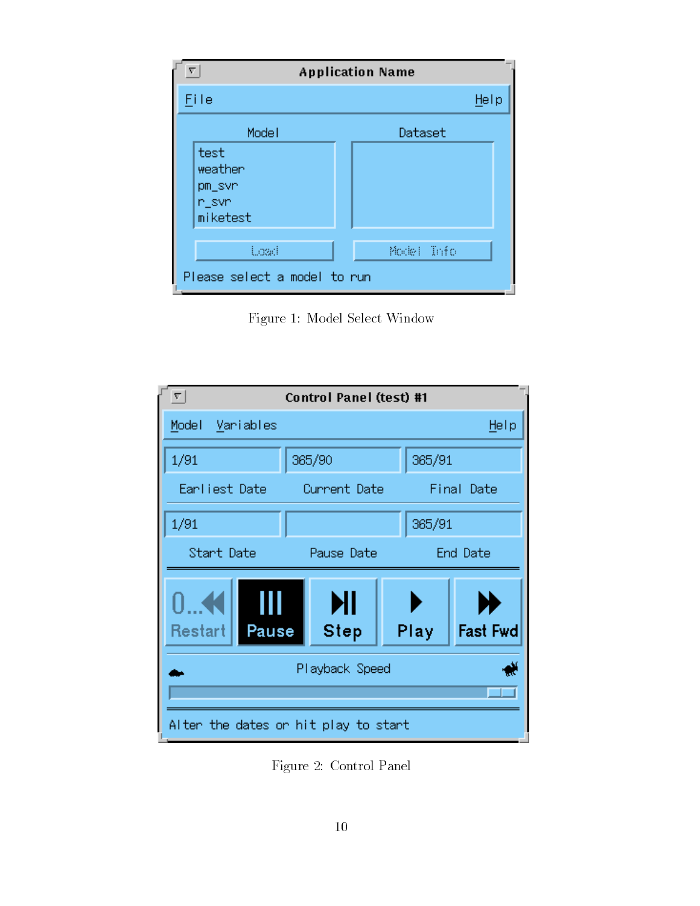| Σ<br><b>Application Name</b>                   |            |  |  |
|------------------------------------------------|------------|--|--|
| File                                           | Help       |  |  |
| Model                                          | Dataset    |  |  |
| test<br>weather<br>pm_svn<br>n_svn<br>miketest |            |  |  |
| toad                                           | Model Info |  |  |
| Please select a model to run                   |            |  |  |

Figure 1: Model Select Window



Figure 2: Control Panel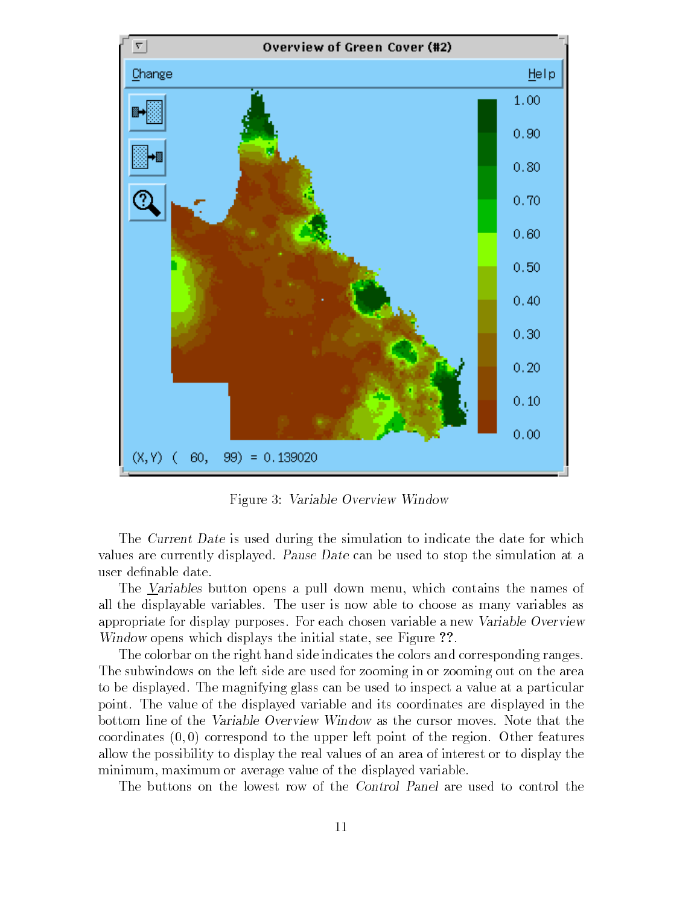

Figure 3: Variable Overview Window

The Current Date is used during the simulation to indicate the date for which values are currently displayed. Pause Date can be used to stop the simulation at a user definable date.

The Variables button opens a pull down menu- which contains the names of all the displayable variables The user is now able to choose as many variables as appropriate for display purposes. For each chosen variable a new Variable Overview windows with a process which displays the initial state of the initial state of the initial state of the initial state of the initial state of the initial state of the initial state of the initial state of the initial stat

The colorbar on the right hand side indicates the colors and corresponding ranges. The subwindows on the left side are used for zooming in or zooming out on the area to be displayed. The magnifying glass can be used to inspect a value at a particular point. The value of the displayed variable and its coordinates are displayed in the bottom line of the Variable Overview Window as the cursor moves Note that the coordinates  $(0,0)$  correspond to the upper left point of the region. Other features allow the possibility to display the real values of an area of interest or to display the minimum-aximum-aximum-aximum-aximum-aximum-aximum-aximum-aximum-aximum-aximum-axi

The buttons on the lowest row of the Control Panel are used to control the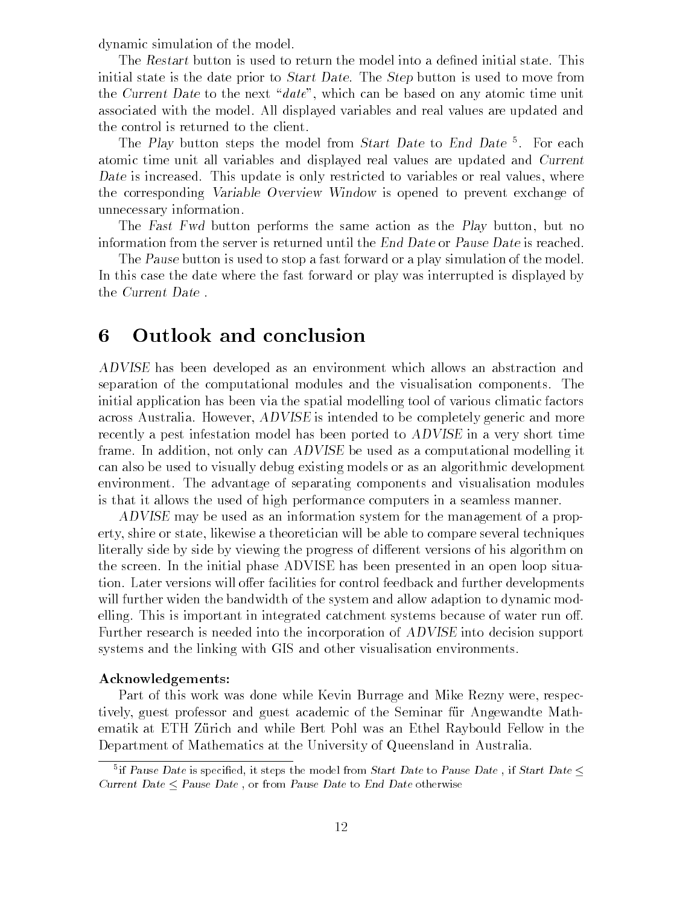dynamic simulation of the model

The Restart button is used to return the model into a defined initial state. This initial state is the date prior to Start Date The Step button is used to move from the Current Date to the health which planed only well and which any atomic time units associated with the model All displayed variables and real values are updated and the control is returned to the client

The Play button steps the model from Start Date to End Date 1. For each atomic time unit all variables and displayed real values are updated and Current Date is increased This update is only restricted to variables or real values- where the corresponding Variable Overview Window is opened to prevent exchange of unnecessary information

The Fast Fwd button performs the same action as the Play button- but no information from the server is returned until the End Date or Pause Date is reached.

The Pause button is used to stop a fast forward or a play simulation of the model. In this case the date where the fast forward or play was interrupted is displayed by the Current Date

#### Outlook and conclusion 6

ADVISE has been developed as an environment which allows an abstraction and separation of the computational modules and the visualisation components. The initial application has been via the spatial modelling tool of various climatic factors across Australia However-Complete to be completely the completely generated more than  $\alpha$ recently a pest infestation model has been ported to ADVISE in a very short time frame In addition- not only can ADVISE be used as a computational modelling it can also be used to visually debug existing models or as an algorithmic development environment. The advantage of separating components and visualisation modules is that it allows the used of high performance computers in a seamless manner

ADVISE may be used as an information system for the management of a property- shire or state- likewise a theoretician will be able to compare several techniques literally side by side by viewing the progress of different versions of his algorithm on the screen In the initial phase ADVISE has been presented in an open loop situa tion. Later versions will offer facilities for control feedback and further developments will further widen the bandwidth of the system and allow adaption to dynamic mod elling. This is important in integrated catchment systems because of water run off. Further research is needed into the incorporation of ADVISE into decision support systems and the linking with GIS and other visualisation environments

#### Acknowledgements

Part of this work was done while Kevin Burrage and Mike Rezny were- respec tively guest professor and guest academic of the Seminar for the Seminar form  $\mathcal{A}$ ematik at ETH Zürich and while Bert Pohl was an Ethel Raybould Fellow in the Department of Mathematics at the University of Queensland in Australia

In Pause Date is specified, it steps the model from Start Date to Pause Date , if Start Date  $\leq$ Current Date  $\leq$  Pause Date, or from Pause Date to End Date otherwise